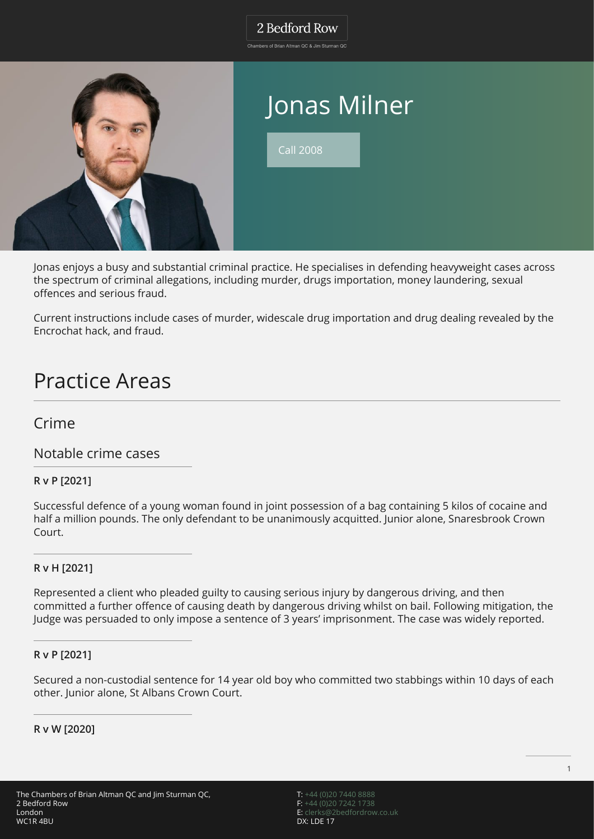# 2 Bedford Row

Chambers of Brian Altman QC & Jim Sturman QC



Jonas enjoys a busy and substantial criminal practice. He specialises in defending heavyweight cases across the spectrum of criminal allegations, including murder, drugs importation, money laundering, sexual offences and serious fraud.

Current instructions include cases of murder, widescale drug importation and drug dealing revealed by the Encrochat hack, and fraud.

# Practice Areas

# Crime

Notable crime cases

## **R v P [2021]**

Successful defence of a young woman found in joint possession of a bag containing 5 kilos of cocaine and half a million pounds. The only defendant to be unanimously acquitted. Junior alone, Snaresbrook Crown Court.

### **R v H [2021]**

Represented a client who pleaded guilty to causing serious injury by dangerous driving, and then committed a further offence of causing death by dangerous driving whilst on bail. Following mitigation, the Judge was persuaded to only impose a sentence of 3 years' imprisonment. The case was widely reported.

#### **R v P [2021]**

Secured a non-custodial sentence for 14 year old boy who committed two stabbings within 10 days of each other. Junior alone, St Albans Crown Court.

**R v W [2020]**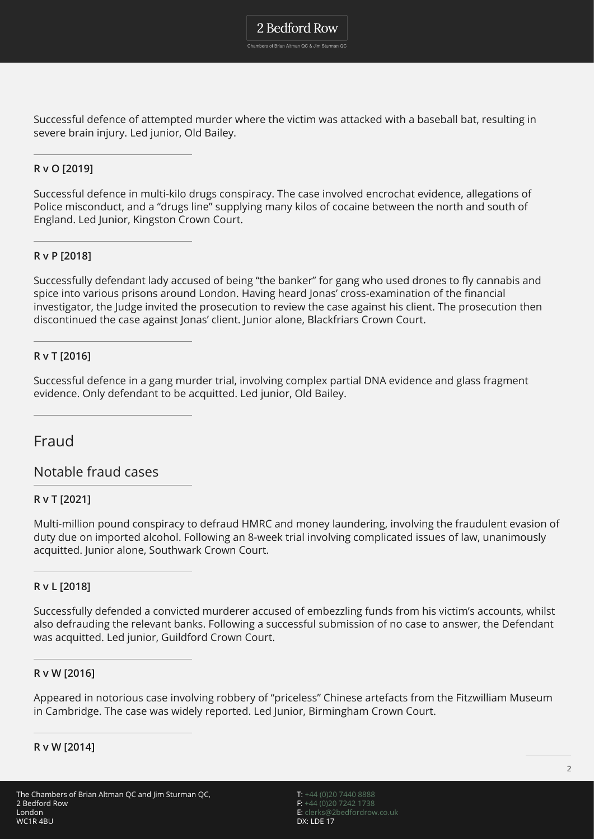2 Bedford Row

Chambers of Brian Altman QC & Jim Sturman QC

Successful defence of attempted murder where the victim was attacked with a baseball bat, resulting in severe brain injury. Led junior, Old Bailey.

### **R v O [2019]**

Successful defence in multi-kilo drugs conspiracy. The case involved encrochat evidence, allegations of Police misconduct, and a "drugs line" supplying many kilos of cocaine between the north and south of England. Led Junior, Kingston Crown Court.

### **R v P [2018]**

Successfully defendant lady accused of being "the banker" for gang who used drones to fly cannabis and spice into various prisons around London. Having heard Jonas' cross-examination of the financial investigator, the Judge invited the prosecution to review the case against his client. The prosecution then discontinued the case against Jonas' client. Junior alone, Blackfriars Crown Court.

### **R v T [2016]**

Successful defence in a gang murder trial, involving complex partial DNA evidence and glass fragment evidence. Only defendant to be acquitted. Led junior, Old Bailey.

# Fraud

Notable fraud cases

### **R v T [2021]**

Multi-million pound conspiracy to defraud HMRC and money laundering, involving the fraudulent evasion of duty due on imported alcohol. Following an 8-week trial involving complicated issues of law, unanimously acquitted. Junior alone, Southwark Crown Court.

#### **R v L [2018]**

Successfully defended a convicted murderer accused of embezzling funds from his victim's accounts, whilst also defrauding the relevant banks. Following a successful submission of no case to answer, the Defendant was acquitted. Led junior, Guildford Crown Court.

#### **R v W [2016]**

Appeared in notorious case involving robbery of "priceless" Chinese artefacts from the Fitzwilliam Museum in Cambridge. The case was widely reported. Led Junior, Birmingham Crown Court.

#### **R v W [2014]**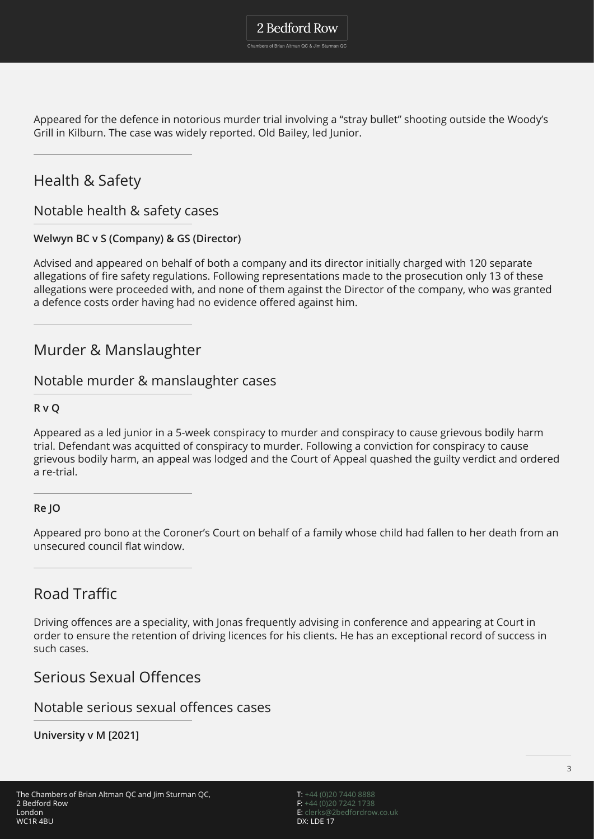Appeared for the defence in notorious murder trial involving a "stray bullet" shooting outside the Woody's Grill in Kilburn. The case was widely reported. Old Bailey, led Junior.

# Health & Safety

Notable health & safety cases

## **Welwyn BC v S (Company) & GS (Director)**

Advised and appeared on behalf of both a company and its director initially charged with 120 separate allegations of fire safety regulations. Following representations made to the prosecution only 13 of these allegations were proceeded with, and none of them against the Director of the company, who was granted a defence costs order having had no evidence offered against him.

# Murder & Manslaughter

# Notable murder & manslaughter cases

#### **R v Q**

Appeared as a led junior in a 5-week conspiracy to murder and conspiracy to cause grievous bodily harm trial. Defendant was acquitted of conspiracy to murder. Following a conviction for conspiracy to cause grievous bodily harm, an appeal was lodged and the Court of Appeal quashed the guilty verdict and ordered a re-trial.

#### **Re JO**

Appeared pro bono at the Coroner's Court on behalf of a family whose child had fallen to her death from an unsecured council flat window.

# Road Traffic

Driving offences are a speciality, with Jonas frequently advising in conference and appearing at Court in order to ensure the retention of driving licences for his clients. He has an exceptional record of success in such cases.

# Serious Sexual Offences

## Notable serious sexual offences cases

**University v M [2021]**